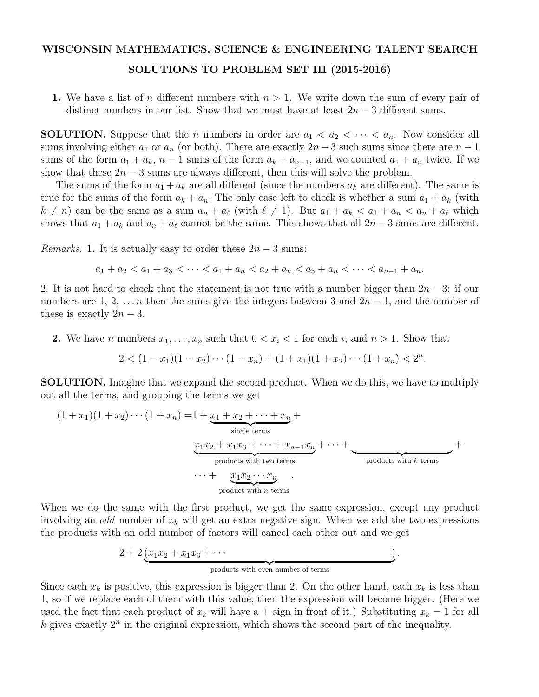## WISCONSIN MATHEMATICS, SCIENCE & ENGINEERING TALENT SEARCH SOLUTIONS TO PROBLEM SET III (2015-2016)

1. We have a list of *n* different numbers with  $n > 1$ . We write down the sum of every pair of distinct numbers in our list. Show that we must have at least  $2n-3$  different sums.

**SOLUTION.** Suppose that the *n* numbers in order are  $a_1 < a_2 < \cdots < a_n$ . Now consider all sums involving either  $a_1$  or  $a_n$  (or both). There are exactly  $2n-3$  such sums since there are  $n-1$ sums of the form  $a_1 + a_k$ ,  $n-1$  sums of the form  $a_k + a_{n-1}$ , and we counted  $a_1 + a_n$  twice. If we show that these  $2n - 3$  sums are always different, then this will solve the problem.

The sums of the form  $a_1 + a_k$  are all different (since the numbers  $a_k$  are different). The same is true for the sums of the form  $a_k + a_n$ , The only case left to check is whether a sum  $a_1 + a_k$  (with  $k \neq n$  can be the same as a sum  $a_n + a_\ell$  (with  $\ell \neq 1$ ). But  $a_1 + a_k < a_1 + a_n < a_n + a_\ell$  which shows that  $a_1 + a_k$  and  $a_n + a_\ell$  cannot be the same. This shows that all  $2n - 3$  sums are different.

*Remarks.* 1. It is actually easy to order these  $2n - 3$  sums:

$$
a_1 + a_2 < a_1 + a_3 < \cdots < a_1 + a_n < a_2 + a_n < a_3 + a_n < \cdots < a_{n-1} + a_n.
$$

2. It is not hard to check that the statement is not true with a number bigger than  $2n - 3$ : if our numbers are 1, 2,  $\dots n$  then the sums give the integers between 3 and  $2n-1$ , and the number of these is exactly  $2n - 3$ .

2. We have *n* numbers  $x_1, \ldots, x_n$  such that  $0 < x_i < 1$  for each *i*, and  $n > 1$ . Show that

$$
2 < (1-x_1)(1-x_2)\cdots(1-x_n) + (1+x_1)(1+x_2)\cdots(1+x_n) < 2^n.
$$

SOLUTION. Imagine that we expand the second product. When we do this, we have to multiply out all the terms, and grouping the terms we get

$$
(1+x_1)(1+x_2)\cdots(1+x_n) = 1 + \underbrace{x_1 + x_2 + \cdots + x_n}_{\text{single terms}} + \underbrace{x_1x_2 + x_1x_3 + \cdots + x_{n-1}x_n}_{\text{products with two terms}} + \underbrace{x_1x_2 \cdots x_n}_{\text{product with } n \text{ terms}} + \underbrace{x_1x_2 \cdots x_n}_{\text{product with } n \text{ terms}}
$$

When we do the same with the first product, we get the same expression, except any product involving an *odd* number of *x<sup>k</sup>* will get an extra negative sign. When we add the two expressions the products with an odd number of factors will cancel each other out and we get

$$
2 + 2 \underbrace{(x_1 x_2 + x_1 x_3 + \cdots)}.
$$

products with even number of terms

Since each  $x_k$  is positive, this expression is bigger than 2. On the other hand, each  $x_k$  is less than 1, so if we replace each of them with this value, then the expression will become bigger. (Here we used the fact that each product of  $x_k$  will have a + sign in front of it.) Substituting  $x_k = 1$  for all  $k$  gives exactly  $2^n$  in the original expression, which shows the second part of the inequality.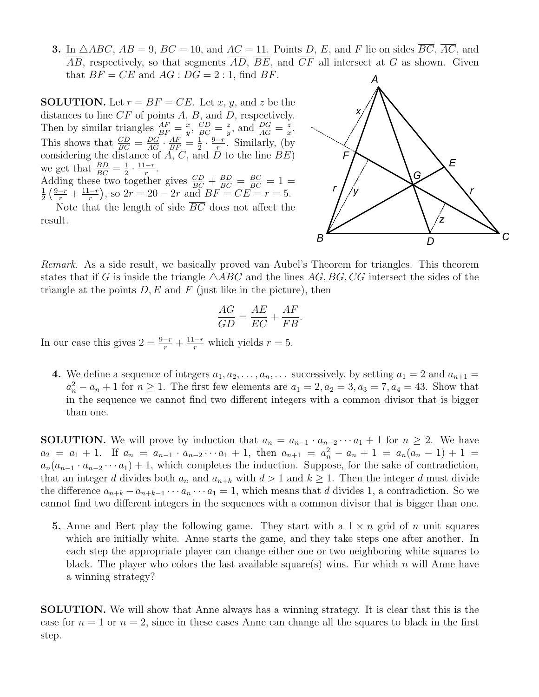3. In  $\triangle ABC$ ,  $AB = 9$ ,  $BC = 10$ , and  $AC = 11$ . Points *D*, *E*, and *F* lie on sides  $\overline{BC}$ ,  $\overline{AC}$ , and  $\overline{AB}$ , respectively, so that segments  $\overline{AD}$ ,  $\overline{BE}$ , and  $\overline{CF}$  all intersect at *G* as shown. Given that  $BF = CE$  and  $AG : DG = 2 : 1$ , find *BF*.

**SOLUTION.** Let  $r = BF = CE$ . Let *x*, *y*, and *z* be the distances to line *CF* of points *A*, *B*, and *D*, respectively. Then by similar triangles  $\frac{AF}{BF} = \frac{x}{y}$ ,  $\frac{CD}{BC} = \frac{z}{y}$ , and  $\frac{DG}{AG} = \frac{z}{x}$ . This shows that  $\frac{CD}{BC} = \frac{DG}{AG} \cdot \frac{AF}{BF} = \frac{1}{2} \cdot \frac{9-r}{r}$ . Similarly, (by considering the distance of *A*, *C*, and *D* to the line *BE*) we get that  $\frac{BD}{BC} = \frac{1}{2} \cdot \frac{11-r}{r}$ . Adding these two together gives  $\frac{CD}{BC} + \frac{BD}{BC} = \frac{BC}{BC} = 1 =$ <br>  $\frac{1}{2}(\frac{9-r}{2} + \frac{11-r}{2})$  so  $2r = 20 - 2r$  and  $BF = CF = r = 5$  $\frac{1}{2} \left( \frac{9-r}{r} + \frac{11-r}{r} \right)$ , so  $2r = 20 - 2r$  and  $BF = CE = r = 5$ .

Note that the length of side  $\overline{BC}$  does not affect the result.



*Remark.* As a side result, we basically proved van Aubel's Theorem for triangles. This theorem states that if *G* is inside the triangle  $\triangle ABC$  and the lines AG, BG, CG intersect the sides of the triangle at the points  $D, E$  and  $F$  (just like in the picture), then

$$
\frac{AG}{GD} = \frac{AE}{EC} + \frac{AF}{FB}.
$$

In our case this gives  $2 = \frac{9-r}{r} + \frac{11-r}{r}$  which yields  $r = 5$ .

4. We define a sequence of integers  $a_1, a_2, \ldots, a_n, \ldots$  successively, by setting  $a_1 = 2$  and  $a_{n+1} =$  $a_n^2 - a_n + 1$  for  $n \ge 1$ . The first few elements are  $a_1 = 2, a_2 = 3, a_3 = 7, a_4 = 43$ . Show that in the sequence we cannot find two different integers with a common divisor that is bigger than one.

**SOLUTION.** We will prove by induction that  $a_n = a_{n-1} \cdot a_{n-2} \cdots a_1 + 1$  for  $n \geq 2$ . We have  $a_2 = a_1 + 1$ . If  $a_n = a_{n-1} \cdot a_{n-2} \cdots a_1 + 1$ , then  $a_{n+1} = a_n^2 - a_n + 1 = a_n(a_n - 1) + 1 =$  $a_n(a_{n-1} \cdot a_{n-2} \cdots a_1) + 1$ , which completes the induction. Suppose, for the sake of contradiction, that an integer *d* divides both  $a_n$  and  $a_{n+k}$  with  $d > 1$  and  $k \ge 1$ . Then the integer *d* must divide the difference  $a_{n+k} - a_{n+k-1} \cdots a_n \cdots a_1 = 1$ , which means that *d* divides 1, a contradiction. So we cannot find two different integers in the sequences with a common divisor that is bigger than one.

5. Anne and Bert play the following game. They start with a  $1 \times n$  grid of *n* unit squares which are initially white. Anne starts the game, and they take steps one after another. In each step the appropriate player can change either one or two neighboring white squares to black. The player who colors the last available square(s) wins. For which *n* will Anne have a winning strategy?

SOLUTION. We will show that Anne always has a winning strategy. It is clear that this is the case for  $n = 1$  or  $n = 2$ , since in these cases Anne can change all the squares to black in the first step.